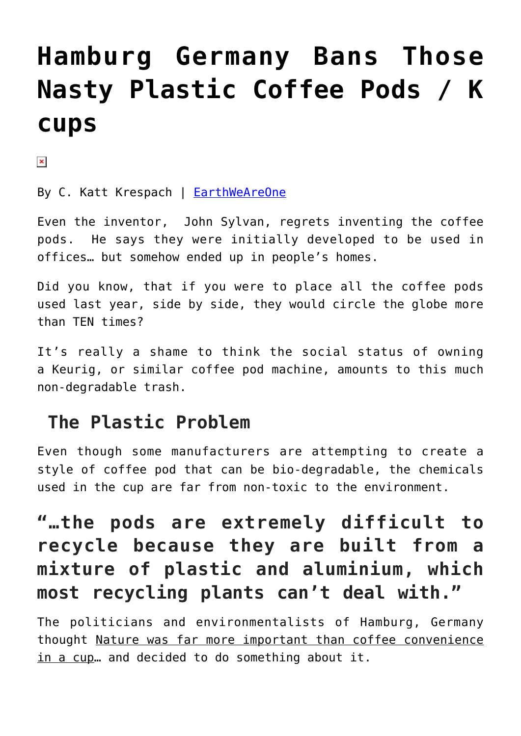# **[Hamburg Germany Bans Those](https://consciouslifenews.com/hamburg-germany-bans-nasty-plastic-coffee-pods-k-cups/11117383/) [Nasty Plastic Coffee Pods / K](https://consciouslifenews.com/hamburg-germany-bans-nasty-plastic-coffee-pods-k-cups/11117383/) [cups](https://consciouslifenews.com/hamburg-germany-bans-nasty-plastic-coffee-pods-k-cups/11117383/)**

 $\pmb{\times}$ 

By C. Katt Krespach | [EarthWeAreOne](https://www.ewao.com/a/hamburg-first-city-ban-nasty-plastic-coffee-pods/?utm_source=EWAO+Networks%3A+Master+List&utm_campaign=a517086daf-RSS_EWAO_News_Daily_Campaign&utm_medium=email&utm_term=0_8d65d3de3e-a517086daf-160046925)

Even the inventor, John Sylvan, regrets inventing the coffee pods. He says they were initially developed to be used in offices… but somehow ended up in people's homes.

Did you know, that if you were to place all the coffee pods used last year, side by side, they would circle the globe more than TEN times?

It's really a shame to think the social status of owning a Keurig, or similar coffee pod machine, amounts to this much non-degradable trash.

### **The Plastic Problem**

Even though some manufacturers are attempting to create a style of coffee pod that can be bio-degradable, the chemicals used in the cup are far from non-toxic to the environment.

## **"…the pods are extremely difficult to recycle because they are built from a mixture of plastic and aluminium, which most recycling plants can't deal with."**

The politicians and environmentalists of Hamburg, Germany thought Nature was far more important than coffee convenience in a cup… and decided to do something about it.